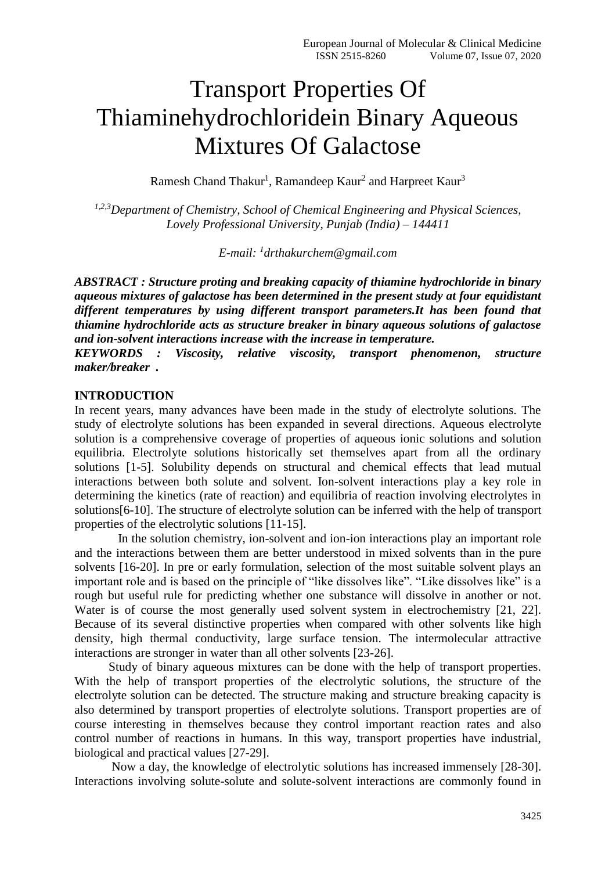# Transport Properties Of Thiaminehydrochloridein Binary Aqueous Mixtures Of Galactose

Ramesh Chand Thakur<sup>1</sup>, Ramandeep Kaur<sup>2</sup> and Harpreet Kaur<sup>3</sup>

*1,2,3Department of Chemistry, School of Chemical Engineering and Physical Sciences, Lovely Professional University, Punjab (India) – 144411*

*E-mail: <sup>1</sup> drthakurchem@gmail.com*

*ABSTRACT : Structure proting and breaking capacity of thiamine hydrochloride in binary aqueous mixtures of galactose has been determined in the present study at four equidistant different temperatures by using different transport parameters.It has been found that thiamine hydrochloride acts as structure breaker in binary aqueous solutions of galactose and ion-solvent interactions increase with the increase in temperature.*

*KEYWORDS : Viscosity, relative viscosity, transport phenomenon, structure maker/breaker .* 

### **INTRODUCTION**

In recent years, many advances have been made in the study of electrolyte solutions. The study of electrolyte solutions has been expanded in several directions. Aqueous electrolyte solution is a comprehensive coverage of properties of aqueous ionic solutions and solution equilibria. Electrolyte solutions historically set themselves apart from all the ordinary solutions [1-5]. Solubility depends on structural and chemical effects that lead mutual interactions between both solute and solvent. Ion-solvent interactions play a key role in determining the kinetics (rate of reaction) and equilibria of reaction involving electrolytes in solutions[6-10]. The structure of electrolyte solution can be inferred with the help of transport properties of the electrolytic solutions [11-15].

 In the solution chemistry, ion-solvent and ion-ion interactions play an important role and the interactions between them are better understood in mixed solvents than in the pure solvents [16-20]. In pre or early formulation, selection of the most suitable solvent plays an important role and is based on the principle of "like dissolves like". "Like dissolves like" is a rough but useful rule for predicting whether one substance will dissolve in another or not. Water is of course the most generally used solvent system in electrochemistry [21, 22]. Because of its several distinctive properties when compared with other solvents like high density, high thermal conductivity, large surface tension. The intermolecular attractive interactions are stronger in water than all other solvents [23-26].

 Study of binary aqueous mixtures can be done with the help of transport properties. With the help of transport properties of the electrolytic solutions, the structure of the electrolyte solution can be detected. The structure making and structure breaking capacity is also determined by transport properties of electrolyte solutions. Transport properties are of course interesting in themselves because they control important reaction rates and also control number of reactions in humans. In this way, transport properties have industrial, biological and practical values [27-29].

 Now a day, the knowledge of electrolytic solutions has increased immensely [28-30]. Interactions involving solute-solute and solute-solvent interactions are commonly found in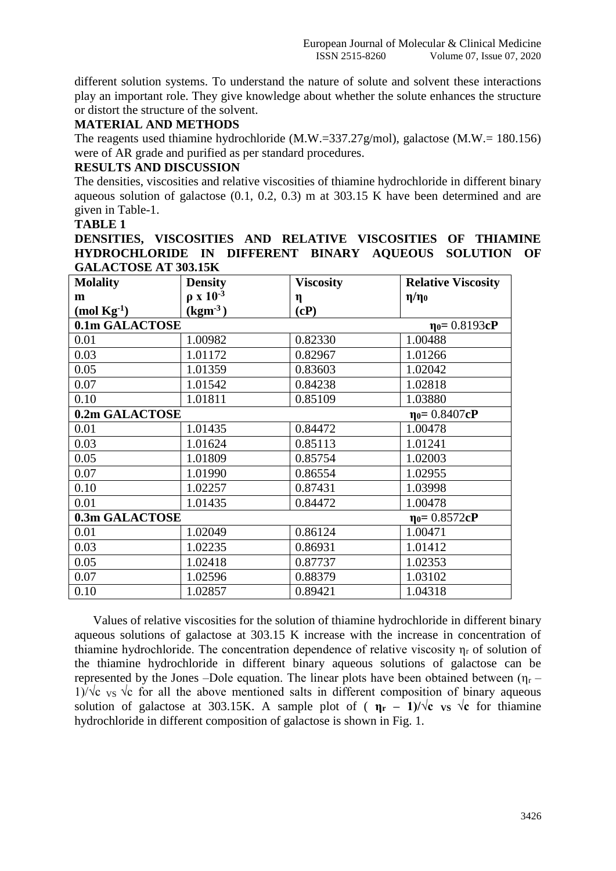different solution systems. To understand the nature of solute and solvent these interactions play an important role. They give knowledge about whether the solute enhances the structure or distort the structure of the solvent.

# **MATERIAL AND METHODS**

The reagents used thiamine hydrochloride (M.W.=337.27g/mol), galactose (M.W.= 180.156) were of AR grade and purified as per standard procedures.

## **RESULTS AND DISCUSSION**

The densities, viscosities and relative viscosities of thiamine hydrochloride in different binary aqueous solution of galactose (0.1, 0.2, 0.3) m at 303.15 K have been determined and are given in Table-1.

## **TABLE 1**

**DENSITIES, VISCOSITIES AND RELATIVE VISCOSITIES OF THIAMINE HYDROCHLORIDE IN DIFFERENT BINARY AQUEOUS SOLUTION OF GALACTOSE AT 303.15K**

| <b>Molality</b>                       | <b>Density</b>     | <b>Viscosity</b> | <b>Relative Viscosity</b> |  |
|---------------------------------------|--------------------|------------------|---------------------------|--|
| m                                     | $\rho$ x $10^{-3}$ | η                | $\eta/\eta_0$             |  |
| $(mod Kg-1)$                          | $(kgm-3)$          | (cP)             |                           |  |
| 0.1m GALACTOSE                        |                    |                  | $\eta_0 = 0.8193cP$       |  |
| 0.01                                  | 1.00982            | 0.82330          | 1.00488                   |  |
| 0.03                                  | 1.01172            | 0.82967          | 1.01266                   |  |
| 0.05                                  | 1.01359            | 0.83603          | 1.02042                   |  |
| 0.07                                  | 1.01542            | 0.84238          | 1.02818                   |  |
| 0.10                                  | 1.01811            | 0.85109          | 1.03880                   |  |
| 0.2m GALACTOSE<br>$\eta_0 = 0.8407cP$ |                    |                  |                           |  |
| 0.01                                  | 1.01435            | 0.84472          | 1.00478                   |  |
| 0.03                                  | 1.01624            | 0.85113          | 1.01241                   |  |
| 0.05                                  | 1.01809            | 0.85754          | 1.02003                   |  |
| 0.07                                  | 1.01990            | 0.86554          | 1.02955                   |  |
| 0.10                                  | 1.02257            | 0.87431          | 1.03998                   |  |
| 0.01                                  | 1.01435            | 0.84472          | 1.00478                   |  |
| 0.3m GALACTOSE<br>$\eta_0 = 0.8572cP$ |                    |                  |                           |  |
| 0.01                                  | 1.02049            | 0.86124          | 1.00471                   |  |
| 0.03                                  | 1.02235            | 0.86931          | 1.01412                   |  |
| 0.05                                  | 1.02418            | 0.87737          | 1.02353                   |  |
| 0.07                                  | 1.02596            | 0.88379          | 1.03102                   |  |
| 0.10                                  | 1.02857            | 0.89421          | 1.04318                   |  |

 Values of relative viscosities for the solution of thiamine hydrochloride in different binary aqueous solutions of galactose at 303.15 K increase with the increase in concentration of thiamine hydrochloride. The concentration dependence of relative viscosity  $\eta_r$  of solution of the thiamine hydrochloride in different binary aqueous solutions of galactose can be represented by the Jones –Dole equation. The linear plots have been obtained between  $(\eta_r -$ 1)/ $\sqrt{\sigma}$  vs  $\sqrt{\sigma}$  for all the above mentioned salts in different composition of binary aqueous solution of galactose at 303.15K. A sample plot of ( $\eta_r$  – 1)/ $\sqrt{c}$  **vs**  $\sqrt{c}$  for thiamine hydrochloride in different composition of galactose is shown in Fig. 1.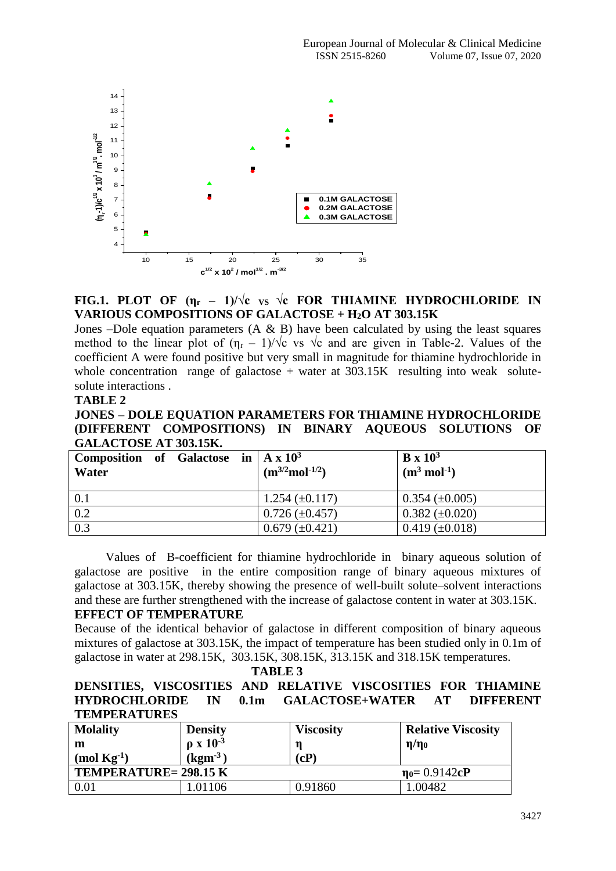

# **FIG.1. PLOT OF**  $(\eta_r - 1)/\sqrt{c}$  **vs**  $\sqrt{c}$  **FOR THIAMINE HYDROCHLORIDE IN VARIOUS COMPOSITIONS OF GALACTOSE + H2O AT 303.15K**

Jones –Dole equation parameters  $(A \& B)$  have been calculated by using the least squares method to the linear plot of  $(\eta_r - 1)/\sqrt{c}$  vs  $\sqrt{c}$  and are given in Table-2. Values of the coefficient A were found positive but very small in magnitude for thiamine hydrochloride in whole concentration range of galactose  $+$  water at 303.15K resulting into weak solutesolute interactions .

#### **TABLE 2**

## **JONES – DOLE EQUATION PARAMETERS FOR THIAMINE HYDROCHLORIDE (DIFFERENT COMPOSITIONS) IN BINARY AQUEOUS SOLUTIONS OF GALACTOSE AT 303.15K.**

| <b>Composition</b> of Galactose in $\mathbf{A} \times \mathbf{10}^3$<br>Water |  | $(m^{3/2}mol^{-1/2})$ | $\mathbf{B} \times 10^3$<br>$(m^3 \text{ mol}^{-1})$ |
|-------------------------------------------------------------------------------|--|-----------------------|------------------------------------------------------|
| 0.1                                                                           |  | $1.254 \ (\pm 0.117)$ | $0.354 \ (\pm 0.005)$                                |
| 0.2                                                                           |  | $0.726 \ (\pm 0.457)$ | $0.382 \ (\pm 0.020)$                                |
| 0.3                                                                           |  | $0.679 \ (\pm 0.421)$ | $0.419 \ (\pm 0.018)$                                |

 Values of B-coefficient for thiamine hydrochloride in binary aqueous solution of galactose are positive in the entire composition range of binary aqueous mixtures of galactose at 303.15K, thereby showing the presence of well-built solute–solvent interactions and these are further strengthened with the increase of galactose content in water at 303.15K.

## **EFFECT OF TEMPERATURE**

Because of the identical behavior of galactose in different composition of binary aqueous mixtures of galactose at 303.15K, the impact of temperature has been studied only in 0.1m of galactose in water at 298.15K, 303.15K, 308.15K, 313.15K and 318.15K temperatures.

 **TABLE 3**

# **DENSITIES, VISCOSITIES AND RELATIVE VISCOSITIES FOR THIAMINE HYDROCHLORIDE IN 0.1m GALACTOSE+WATER AT DIFFERENT TEMPERATURES**

| <b>Molality</b>             | <b>Density</b>              | <b>Viscosity</b> | <b>Relative Viscosity</b> |
|-----------------------------|-----------------------------|------------------|---------------------------|
| m                           | $\rho$ x $10^{-3}$          | n                | $\eta/\eta_0$             |
| $(mod Kg^{-1})$             | $\left(\text{kgm}^3\right)$ | (cP)             |                           |
| <b>TEMPERATURE=298.15 K</b> |                             |                  | $\eta_0 = 0.9142cP$       |
| 0.01                        | 1.01106                     | 0.91860          | 1.00482                   |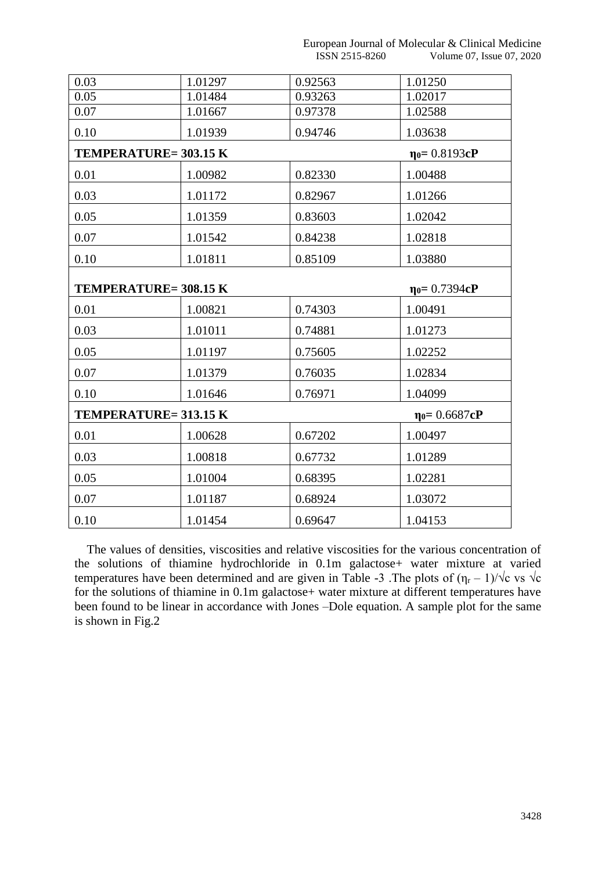| 0.03                                                         | 1.01297 | 0.92563 | 1.01250             |  |
|--------------------------------------------------------------|---------|---------|---------------------|--|
| 0.05                                                         | 1.01484 | 0.93263 | 1.02017             |  |
| 0.07                                                         | 1.01667 | 0.97378 | 1.02588             |  |
| 0.10                                                         | 1.01939 | 0.94746 | 1.03638             |  |
| <b>TEMPERATURE=303.15 K</b>                                  |         |         | $\eta_0 = 0.8193cP$ |  |
| 0.01                                                         | 1.00982 | 0.82330 | 1.00488             |  |
| 0.03                                                         | 1.01172 | 0.82967 | 1.01266             |  |
| 0.05                                                         | 1.01359 | 0.83603 | 1.02042             |  |
| 0.07                                                         | 1.01542 | 0.84238 | 1.02818             |  |
| 0.10                                                         | 1.01811 | 0.85109 | 1.03880             |  |
| <b>TEMPERATURE=308.15 K</b><br>$\eta$ <sup>0=</sup> 0.7394cP |         |         |                     |  |
| 0.01                                                         | 1.00821 | 0.74303 | 1.00491             |  |
| 0.03                                                         | 1.01011 | 0.74881 | 1.01273             |  |
| 0.05                                                         | 1.01197 | 0.75605 | 1.02252             |  |
| 0.07                                                         | 1.01379 | 0.76035 | 1.02834             |  |
| 0.10                                                         | 1.01646 | 0.76971 | 1.04099             |  |
| TEMPERATURE= 313.15 K<br>$\eta$ <sup>0=</sup> 0.6687cP       |         |         |                     |  |
| 0.01                                                         | 1.00628 | 0.67202 | 1.00497             |  |
| 0.03                                                         | 1.00818 | 0.67732 | 1.01289             |  |
| 0.05                                                         | 1.01004 | 0.68395 | 1.02281             |  |
| 0.07                                                         | 1.01187 | 0.68924 | 1.03072             |  |
| 0.10                                                         | 1.01454 | 0.69647 | 1.04153             |  |

 The values of densities, viscosities and relative viscosities for the various concentration of the solutions of thiamine hydrochloride in 0.1m galactose+ water mixture at varied temperatures have been determined and are given in Table -3 . The plots of  $(\eta_r - 1)/\sqrt{c}$  vs  $\sqrt{c}$ for the solutions of thiamine in 0.1m galactose+ water mixture at different temperatures have been found to be linear in accordance with Jones –Dole equation. A sample plot for the same is shown in Fig.2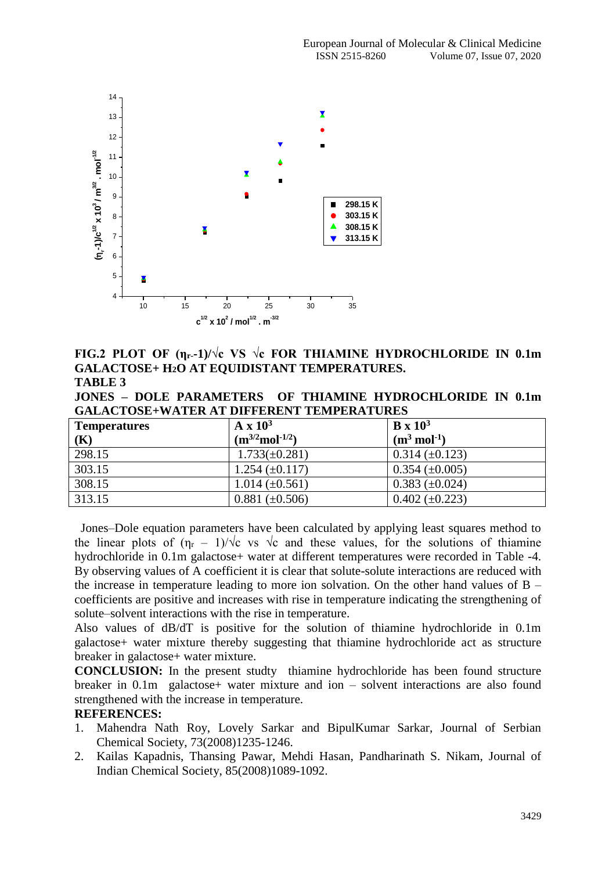

**FIG.2 PLOT OF (ηr--1)/√c VS √c FOR THIAMINE HYDROCHLORIDE IN 0.1m GALACTOSE+ H2O AT EQUIDISTANT TEMPERATURES. TABLE 3**

**JONES – DOLE PARAMETERS OF THIAMINE HYDROCHLORIDE IN 0.1m GALACTOSE+WATER AT DIFFERENT TEMPERATURES**

| <b>Temperatures</b> | $A \times 10^3$       | $B \times 10^3$          |
|---------------------|-----------------------|--------------------------|
| (K)                 | $(m^{3/2}mol^{-1/2})$ | $(m^3 \text{ mol}^{-1})$ |
| 298.15              | $1.733(\pm 0.281)$    | $0.314 \ (\pm 0.123)$    |
| 303.15              | $1.254 \ (\pm 0.117)$ | $0.354 \ (\pm 0.005)$    |
| 308.15              | $1.014 \ (\pm 0.561)$ | $0.383 \ (\pm 0.024)$    |
| 313.15              | $0.881 (\pm 0.506)$   | $0.402 \ (\pm 0.223)$    |

 Jones–Dole equation parameters have been calculated by applying least squares method to the linear plots of  $(\eta_r - 1)/\sqrt{c}$  vs  $\sqrt{c}$  and these values, for the solutions of thiamine hydrochloride in 0.1m galactose+ water at different temperatures were recorded in Table -4. By observing values of A coefficient it is clear that solute-solute interactions are reduced with the increase in temperature leading to more ion solvation. On the other hand values of  $B$ coefficients are positive and increases with rise in temperature indicating the strengthening of solute–solvent interactions with the rise in temperature.

Also values of dB/dT is positive for the solution of thiamine hydrochloride in 0.1m galactose+ water mixture thereby suggesting that thiamine hydrochloride act as structure breaker in galactose+ water mixture.

**CONCLUSION:** In the present studty thiamine hydrochloride has been found structure breaker in 0.1m galactose+ water mixture and ion – solvent interactions are also found strengthened with the increase in temperature.

#### **REFERENCES:**

- 1. Mahendra Nath Roy, Lovely Sarkar and BipulKumar Sarkar, Journal of Serbian Chemical Society, 73(2008)1235-1246.
- 2. Kailas Kapadnis, Thansing Pawar, Mehdi Hasan, Pandharinath S. Nikam, Journal of Indian Chemical Society, 85(2008)1089-1092.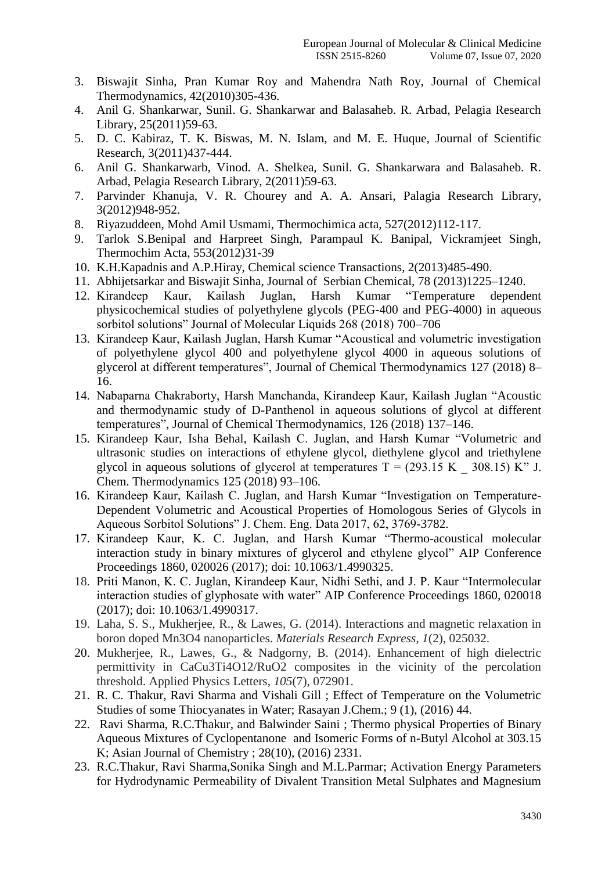- 3. Biswajit Sinha, Pran Kumar Roy and Mahendra Nath Roy, Journal of Chemical Thermodynamics, 42(2010)305-436.
- 4. Anil G. Shankarwar, Sunil. G. Shankarwar and Balasaheb. R. Arbad, Pelagia Research Library, 25(2011)59-63.
- 5. D. C. Kabiraz, T. K. Biswas, M. N. Islam, and M. E. Huque, Journal of Scientific Research, 3(2011)437-444.
- 6. Anil G. Shankarwarb, Vinod. A. Shelkea, Sunil. G. Shankarwara and Balasaheb. R. Arbad, Pelagia Research Library, 2(2011)59-63.
- 7. Parvinder Khanuja, V. R. Chourey and A. A. Ansari, Palagia Research Library, 3(2012)948-952.
- 8. Riyazuddeen, Mohd Amil Usmami, Thermochimica acta, 527(2012)112-117.
- 9. Tarlok S.Benipal and Harpreet Singh, Parampaul K. Banipal, Vickramjeet Singh, Thermochim Acta, 553(2012)31-39
- 10. K.H.Kapadnis and A.P.Hiray, Chemical science Transactions, 2(2013)485-490.
- 11. Abhijetsarkar and Biswajit Sinha, Journal of Serbian Chemical, 78 (2013)1225–1240.
- 12. Kirandeep Kaur, Kailash Juglan, Harsh Kumar "Temperature dependent physicochemical studies of polyethylene glycols (PEG-400 and PEG-4000) in aqueous sorbitol solutions" Journal of Molecular Liquids 268 (2018) 700–706
- 13. Kirandeep Kaur, Kailash Juglan, Harsh Kumar "Acoustical and volumetric investigation of polyethylene glycol 400 and polyethylene glycol 4000 in aqueous solutions of glycerol at different temperatures", Journal of Chemical Thermodynamics 127 (2018) 8– 16.
- 14. Nabaparna Chakraborty, Harsh Manchanda, Kirandeep Kaur, Kailash Juglan "Acoustic and thermodynamic study of D-Panthenol in aqueous solutions of glycol at different temperatures", Journal of Chemical Thermodynamics, 126 (2018) 137–146.
- 15. Kirandeep Kaur, Isha Behal, Kailash C. Juglan, and Harsh Kumar "Volumetric and ultrasonic studies on interactions of ethylene glycol, diethylene glycol and triethylene glycol in aqueous solutions of glycerol at temperatures  $T = (293.15 \text{ K} \cdot 308.15) \text{ K}$ " J. Chem. Thermodynamics 125 (2018) 93–106.
- 16. Kirandeep Kaur, Kailash C. Juglan, and Harsh Kumar "Investigation on Temperature-Dependent Volumetric and Acoustical Properties of Homologous Series of Glycols in Aqueous Sorbitol Solutions" J. Chem. Eng. Data 2017, 62, 3769-3782.
- 17. Kirandeep Kaur, K. C. Juglan, and Harsh Kumar "Thermo-acoustical molecular interaction study in binary mixtures of glycerol and ethylene glycol" AIP Conference Proceedings 1860, 020026 (2017); doi: 10.1063/1.4990325.
- 18. Priti Manon, K. C. Juglan, Kirandeep Kaur, Nidhi Sethi, and J. P. Kaur "Intermolecular interaction studies of glyphosate with water" AIP Conference Proceedings 1860, 020018 (2017); doi: 10.1063/1.4990317.
- 19. Laha, S. S., Mukherjee, R., & Lawes, G. (2014). Interactions and magnetic relaxation in boron doped Mn3O4 nanoparticles. *Materials Research Express*, *1*(2), 025032.
- 20. Mukherjee, R., Lawes, G., & Nadgorny, B. (2014). Enhancement of high dielectric permittivity in CaCu3Ti4O12/RuO2 composites in the vicinity of the percolation threshold. Applied Physics Letters, *105*(7), 072901.
- 21. R. C. Thakur, Ravi Sharma and Vishali Gill ; Effect of Temperature on the Volumetric Studies of some Thiocyanates in Water; Rasayan J.Chem.; 9 (1), (2016) 44.
- 22. Ravi Sharma, R.C.Thakur, and Balwinder Saini ; Thermo physical Properties of Binary Aqueous Mixtures of Cyclopentanone and Isomeric Forms of n-Butyl Alcohol at 303.15 K; Asian Journal of Chemistry ; 28(10), (2016) 2331.
- 23. R.C.Thakur, Ravi Sharma,Sonika Singh and M.L.Parmar; Activation Energy Parameters for Hydrodynamic Permeability of Divalent Transition Metal Sulphates and Magnesium